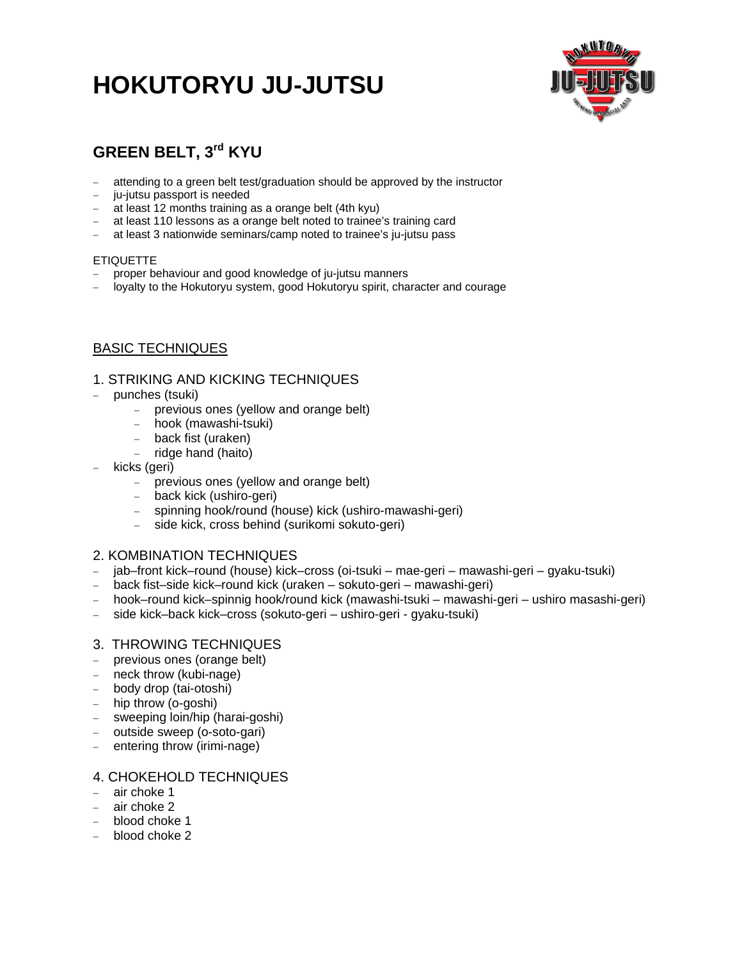## **HOKUTORYU JU-JUTSU**



## **GREEN BELT, 3rd KYU**

- attending to a green belt test/graduation should be approved by the instructor
- ju-jutsu passport is needed
- at least 12 months training as a orange belt (4th kyu)
- at least 110 lessons as a orange belt noted to trainee's training card
- at least 3 nationwide seminars/camp noted to trainee's ju-jutsu pass

#### ETIQUETTE

- proper behaviour and good knowledge of ju-jutsu manners
- loyalty to the Hokutoryu system, good Hokutoryu spirit, character and courage

## BASIC TECHNIQUES

### 1. STRIKING AND KICKING TECHNIQUES

- punches (tsuki)
	- previous ones (yellow and orange belt)
	- hook (mawashi-tsuki)
	- back fist (uraken)
	- ridge hand (haito)
- kicks (geri)
	- previous ones (yellow and orange belt)
	- back kick (ushiro-geri)
	- spinning hook/round (house) kick (ushiro-mawashi-geri)
	- side kick, cross behind (surikomi sokuto-geri)

## 2. KOMBINATION TECHNIQUES

- jab–front kick–round (house) kick–cross (oi-tsuki mae-geri mawashi-geri gyaku-tsuki)
- back fist–side kick–round kick (uraken sokuto-geri mawashi-geri)
- hook–round kick–spinnig hook/round kick (mawashi-tsuki mawashi-geri ushiro masashi-geri)
- side kick–back kick–cross (sokuto-geri ushiro-geri gyaku-tsuki)

### 3. THROWING TECHNIQUES

- previous ones (orange belt)
- neck throw (kubi-nage)
- body drop (tai-otoshi)
- hip throw (o-goshi)
- sweeping loin/hip (harai-goshi)
- outside sweep (o-soto-gari)
- entering throw (irimi-nage)

## 4. CHOKEHOLD TECHNIQUES

- air choke 1
- air choke 2
- blood choke 1
- $-$  blood choke 2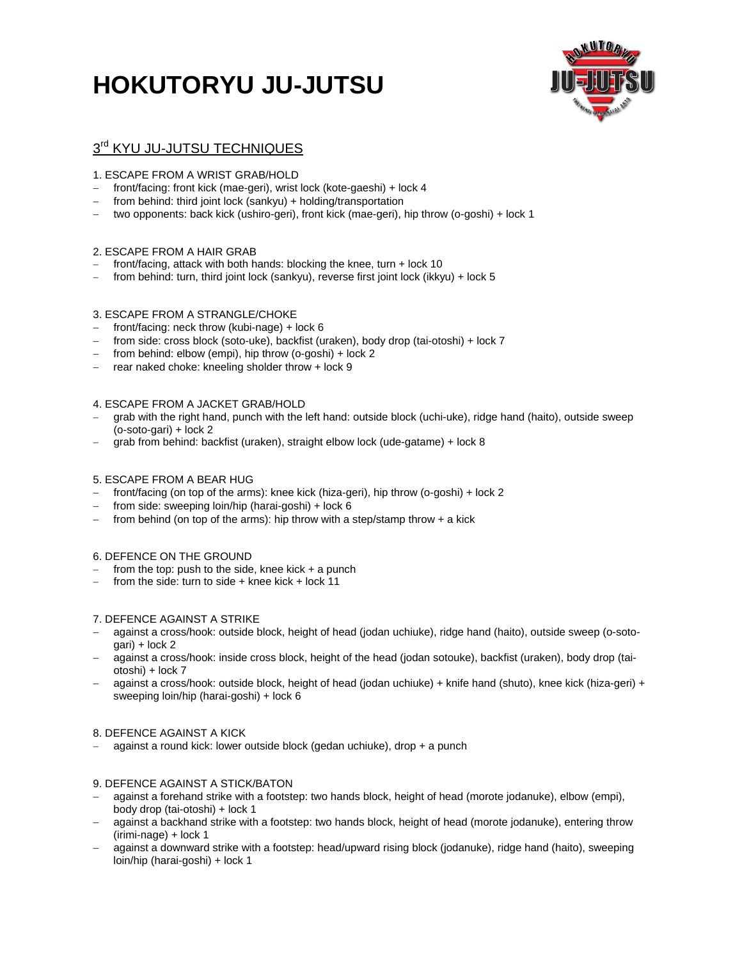# **HOKUTORYU JU-JUTSU**



## $3<sup>rd</sup>$  KYU JU-JUTSU TECHNIQUES

#### 1. ESCAPE FROM A WRIST GRAB/HOLD

- front/facing: front kick (mae-geri), wrist lock (kote-gaeshi) + lock 4
- $-$  from behind: third joint lock (sankyu) + holding/transportation
- two opponents: back kick (ushiro-geri), front kick (mae-geri), hip throw (o-goshi) + lock 1

#### 2. ESCAPE FROM A HAIR GRAB

- front/facing, attack with both hands: blocking the knee, turn + lock 10
- from behind: turn, third joint lock (sankyu), reverse first joint lock (ikkyu) + lock 5

#### 3. ESCAPE FROM A STRANGLE/CHOKE

- front/facing: neck throw (kubi-nage) + lock 6
- from side: cross block (soto-uke), backfist (uraken), body drop (tai-otoshi) + lock 7
- from behind: elbow (empi), hip throw (o-goshi) + lock 2
- $-$  rear naked choke: kneeling sholder throw  $+$  lock  $9$

#### 4. ESCAPE FROM A JACKET GRAB/HOLD

- grab with the right hand, punch with the left hand: outside block (uchi-uke), ridge hand (haito), outside sweep (o-soto-gari) + lock 2
- grab from behind: backfist (uraken), straight elbow lock (ude-gatame) + lock 8

#### 5. ESCAPE FROM A BEAR HUG

- front/facing (on top of the arms): knee kick (hiza-geri), hip throw (o-goshi) + lock 2
- from side: sweeping loin/hip (harai-goshi) + lock 6
- from behind (on top of the arms): hip throw with a step/stamp throw  $+$  a kick

#### 6. DEFENCE ON THE GROUND

- from the top: push to the side, knee kick  $+$  a punch
- from the side: turn to side + knee kick + lock 11

#### 7. DEFENCE AGAINST A STRIKE

- against a cross/hook: outside block, height of head (jodan uchiuke), ridge hand (haito), outside sweep (o-sotogari) + lock 2
- against a cross/hook: inside cross block, height of the head (jodan sotouke), backfist (uraken), body drop (taiotoshi) + lock 7
- against a cross/hook: outside block, height of head (jodan uchiuke) + knife hand (shuto), knee kick (hiza-geri) + sweeping loin/hip (harai-goshi) + lock 6

#### 8. DEFENCE AGAINST A KICK

against a round kick: lower outside block (gedan uchiuke), drop + a punch

#### 9. DEFENCE AGAINST A STICK/BATON

- against a forehand strike with a footstep: two hands block, height of head (morote jodanuke), elbow (empi), body drop (tai-otoshi) + lock 1
- against a backhand strike with a footstep: two hands block, height of head (morote jodanuke), entering throw (irimi-nage) + lock 1
- against a downward strike with a footstep: head/upward rising block (jodanuke), ridge hand (haito), sweeping loin/hip (harai-goshi) + lock 1